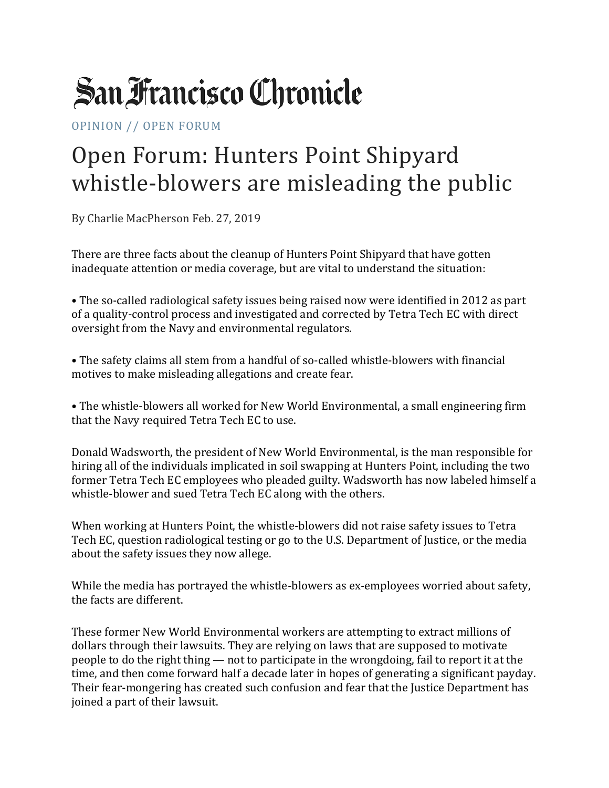## **San Francisco Chronicle**

OPINION // OPEN FORUM

## Open Forum: Hunters Point Shipyard whistle-blowers are misleading the public

By Charlie MacPherson Feb. 27, 2019

There are three facts about the cleanup of Hunters Point Shipyard that have gotten inadequate attention or media coverage, but are vital to understand the situation:

• The so-called radiological safety issues being raised now were identified in 2012 as part of a quality-control process and investigated and corrected by Tetra Tech EC with direct oversight from the Navy and environmental regulators.

• The safety claims all stem from a handful of so-called whistle-blowers with financial motives to make misleading allegations and create fear.

• The whistle-blowers all worked for New World Environmental, a small engineering firm that the Navy required Tetra Tech EC to use.

Donald Wadsworth, the president of New World Environmental, is the man responsible for hiring all of the individuals implicated in soil swapping at Hunters Point, including the two former Tetra Tech EC employees who pleaded guilty. Wadsworth has now labeled himself a whistle-blower and sued Tetra Tech EC along with the others.

When working at Hunters Point, the whistle-blowers did not raise safety issues to Tetra Tech EC, question radiological testing or go to the U.S. Department of Justice, or the media about the safety issues they now allege.

While the media has portrayed the whistle-blowers as ex-employees worried about safety, the facts are different.

These former New World Environmental workers are attempting to extract millions of dollars through their lawsuits. They are relying on laws that are supposed to motivate people to do the right thing — not to participate in the wrongdoing, fail to report it at the time, and then come forward half a decade later in hopes of generating a significant payday. Their fear-mongering has created such confusion and fear that the Justice Department has joined a part of their lawsuit.